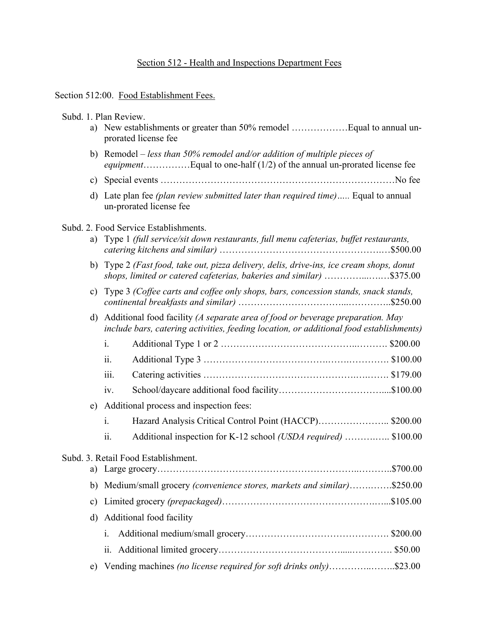# Section 512 - Health and Inspections Department Fees

#### Section 512:00. Food Establishment Fees.

Subd. 1. Plan Review. a) New establishments or greater than 50% remodel ………………Equal to annual unprorated license fee b) Remodel – *less than 50% remodel and/or addition of multiple pieces of equipment*……………Equal to one-half (1/2) of the annual un-prorated license fee c) Special events …………………………………………………………………No fee d) Late plan fee *(plan review submitted later than required time)…..* Equal to annual un-prorated license fee Subd. 2. Food Service Establishments. a) Type 1 *(full service/sit down restaurants, full menu cafeterias, buffet restaurants, catering kitchens and similar)* …………………………………………….…\$500.00 b) Type 2 *(Fast food, take out, pizza delivery, delis, drive-ins, ice cream shops, donut shops, limited or catered cafeterias, bakeries and similar)* …………...….…\$375.00 c) Type 3 *(Coffee carts and coffee only shops, bars, concession stands, snack stands, continental breakfasts and similar)* ……………………………...…………..\$250.00 d) Additional food facility *(A separate area of food or beverage preparation. May include bars, catering activities, feeding location, or additional food establishments)* i. Additional Type 1 or 2 ……………………………………..………. \$200.00 ii. Additional Type 3 ………………………………….…….…………. \$100.00 iii. Catering activities ………………………………………….….……. \$179.00 iv. School/daycare additional food facility……………………………....\$100.00 e) Additional process and inspection fees: i. Hazard Analysis Critical Control Point (HACCP)………………….. \$200.00 ii. Additional inspection for K-12 school *(USDA required)* ……….….. \$100.00 Subd. 3. Retail Food Establishment. a) Large grocery………………………………………………………..………..\$700.00 b) Medium/small grocery *(convenience stores, markets and similar)*…….…….\$250.00 c) Limited grocery *(prepackaged)*………………………………………….…...\$105.00 d) Additional food facility i. Additional medium/small grocery………………………………………. \$200.00 ii. Additional limited grocery………………………………….....…………. \$50.00 e) Vending machines *(no license required for soft drinks only)*…………..……..\$23.00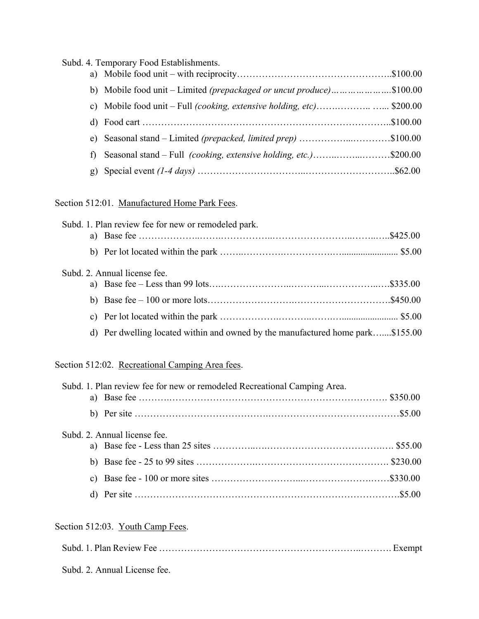|    | Subd. 4. Temporary Food Establishments.                                      |  |
|----|------------------------------------------------------------------------------|--|
|    |                                                                              |  |
|    | b) Mobile food unit – Limited <i>(prepackaged or uncut produce)</i> \$100.00 |  |
|    |                                                                              |  |
|    |                                                                              |  |
| e) | Seasonal stand – Limited (prepacked, limited prep) \$100.00                  |  |
| f) | Seasonal stand – Full <i>(cooking, extensive holding, etc.)</i> \$200.00     |  |
| g) |                                                                              |  |
|    |                                                                              |  |

Section 512:01. Manufactured Home Park Fees.

| Subd. 1. Plan review fee for new or remodeled park.                            |  |
|--------------------------------------------------------------------------------|--|
|                                                                                |  |
|                                                                                |  |
| Subd. 2. Annual license fee.                                                   |  |
|                                                                                |  |
|                                                                                |  |
|                                                                                |  |
| d) Per dwelling located within and owned by the manufactured home park\$155.00 |  |

Section 512:02. Recreational Camping Area fees.

| Subd. 1. Plan review fee for new or remodeled Recreational Camping Area. |  |
|--------------------------------------------------------------------------|--|
|                                                                          |  |
|                                                                          |  |
| Subd. 2. Annual license fee.                                             |  |
|                                                                          |  |
|                                                                          |  |
|                                                                          |  |
|                                                                          |  |

# Section 512:03. Youth Camp Fees.

| Subd. 2. Annual License fee. |  |
|------------------------------|--|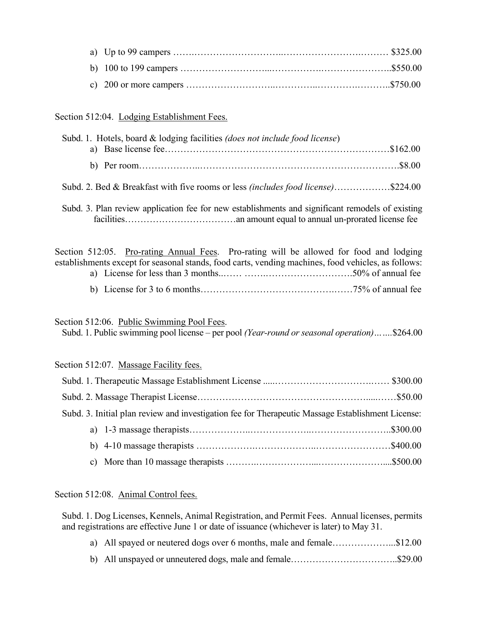# Section 512:04. Lodging Establishment Fees.

| Subd. 1. Hotels, board & lodging facilities (does not include food license) |  |
|-----------------------------------------------------------------------------|--|
|                                                                             |  |
|                                                                             |  |
|                                                                             |  |

Subd. 3. Plan review application fee for new establishments and significant remodels of existing

Subd. 2. Bed & Breakfast with five rooms or less *(includes food license)*………………\$224.00

facilities……………………………………an amount equal to annual un-prorated license fee

Section 512:05. Pro-rating Annual Fees. Pro-rating will be allowed for food and lodging establishments except for seasonal stands, food carts, vending machines, food vehicles, as follows: a) License for less than 3 months..…… …….……………………….50% of annual fee

b) License for 3 to 6 months…………………………………….……75% of annual fee

Section 512:06. Public Swimming Pool Fees.

Subd. 1. Public swimming pool license – per pool *(Year-round or seasonal operation)…….*\$264.00

#### Section 512:07. Massage Facility fees.

| Subd. 3. Initial plan review and investigation fee for Therapeutic Massage Establishment License: |
|---------------------------------------------------------------------------------------------------|
|                                                                                                   |
|                                                                                                   |
|                                                                                                   |

#### Section 512:08. Animal Control fees.

Subd. 1. Dog Licenses, Kennels, Animal Registration, and Permit Fees. Annual licenses, permits and registrations are effective June 1 or date of issuance (whichever is later) to May 31.

- a) All spayed or neutered dogs over 6 months, male and female.....................\$12.00
- b) All unspayed or unneutered dogs, male and female……………………………..\$29.00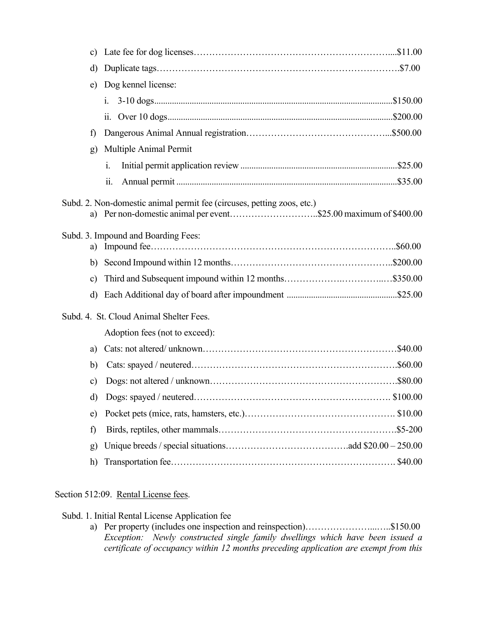| c)           |                                                                                                                                        |
|--------------|----------------------------------------------------------------------------------------------------------------------------------------|
| d)           |                                                                                                                                        |
| e)           | Dog kennel license:                                                                                                                    |
|              | $i$ .                                                                                                                                  |
|              | $\overline{11}$ .                                                                                                                      |
| f)           |                                                                                                                                        |
| g)           | Multiple Animal Permit                                                                                                                 |
|              | i.                                                                                                                                     |
|              | $\dddot{\mathbf{i}}$                                                                                                                   |
| a)           | Subd. 2. Non-domestic animal permit fee (circuses, petting zoos, etc.)<br>Per non-domestic animal per event\$25.00 maximum of \$400.00 |
| a)           | Subd. 3. Impound and Boarding Fees:                                                                                                    |
|              |                                                                                                                                        |
| c)           |                                                                                                                                        |
| d)           |                                                                                                                                        |
|              |                                                                                                                                        |
|              | Subd. 4. St. Cloud Animal Shelter Fees.                                                                                                |
|              | Adoption fees (not to exceed):                                                                                                         |
| a)           |                                                                                                                                        |
| b)           |                                                                                                                                        |
| c)           |                                                                                                                                        |
| d)           |                                                                                                                                        |
| e)           |                                                                                                                                        |
| f)           |                                                                                                                                        |
| $\mathbf{g}$ |                                                                                                                                        |
| h)           | \$40.00                                                                                                                                |

# Section 512:09. Rental License fees.

Subd. 1. Initial Rental License Application fee

a) Per property (includes one inspection and reinspection)………………………………………\$150.00 *Exception: Newly constructed single family dwellings which have been issued a certificate of occupancy within 12 months preceding application are exempt from this*